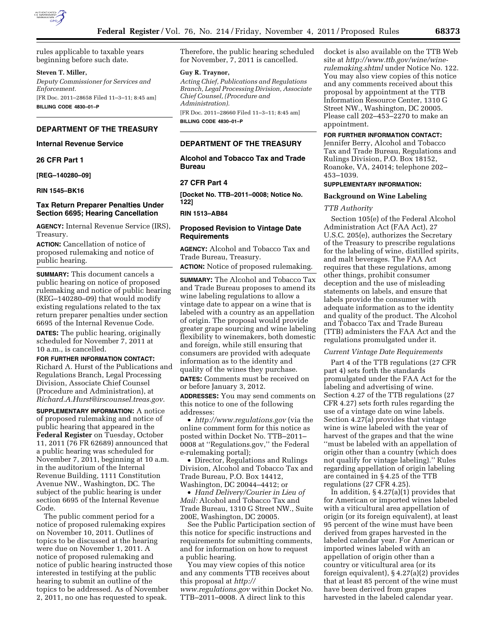

rules applicable to taxable years beginning before such date.

### **Steven T. Miller,**

*Deputy Commissioner for Services and Enforcement.*  [FR Doc. 2011–28658 Filed 11–3–11; 8:45 am]

**BILLING CODE 4830–01–P** 

### **DEPARTMENT OF THE TREASURY**

#### **Internal Revenue Service**

#### **26 CFR Part 1**

**[REG–140280–09]** 

**RIN 1545–BK16** 

### **Tax Return Preparer Penalties Under Section 6695; Hearing Cancellation**

**AGENCY:** Internal Revenue Service (IRS), Treasury.

**ACTION:** Cancellation of notice of proposed rulemaking and notice of public hearing.

**SUMMARY:** This document cancels a public hearing on notice of proposed rulemaking and notice of public hearing (REG–140280–09) that would modify existing regulations related to the tax return preparer penalties under section 6695 of the Internal Revenue Code.

**DATES:** The public hearing, originally scheduled for November 7, 2011 at 10 a.m., is cancelled.

#### **FOR FURTHER INFORMATION CONTACT:**

Richard A. Hurst of the Publications and Regulations Branch, Legal Processing Division, Associate Chief Counsel (Procedure and Administration), at *[Richard.A.Hurst@irscounsel.treas.gov.](mailto:Richard.A.Hurst@irscounsel.treas.gov)* 

**SUPPLEMENTARY INFORMATION:** A notice of proposed rulemaking and notice of public hearing that appeared in the **Federal Register** on Tuesday, October 11, 2011 (76 FR 62689) announced that a public hearing was scheduled for November 7, 2011, beginning at 10 a.m. in the auditorium of the Internal Revenue Building, 1111 Constitution Avenue NW., Washington, DC. The subject of the public hearing is under section 6695 of the Internal Revenue Code.

The public comment period for a notice of proposed rulemaking expires on November 10, 2011. Outlines of topics to be discussed at the hearing were due on November 1, 2011. A notice of proposed rulemaking and notice of public hearing instructed those interested in testifying at the public hearing to submit an outline of the topics to be addressed. As of November 2, 2011, no one has requested to speak.

Therefore, the public hearing scheduled for November, 7, 2011 is cancelled.

#### **Guy R. Traynor,**

*Acting Chief, Publications and Regulations Branch, Legal Processing Division, Associate Chief Counsel, (Procedure and Administration).*  [FR Doc. 2011–28660 Filed 11–3–11; 8:45 am]

**BILLING CODE 4830–01–P** 

# **DEPARTMENT OF THE TREASURY**

# **Alcohol and Tobacco Tax and Trade Bureau**

### **27 CFR Part 4**

**[Docket No. TTB–2011–0008; Notice No. 122]** 

### **RIN 1513–AB84**

### **Proposed Revision to Vintage Date Requirements**

**AGENCY:** Alcohol and Tobacco Tax and Trade Bureau, Treasury.

**ACTION:** Notice of proposed rulemaking.

**SUMMARY:** The Alcohol and Tobacco Tax and Trade Bureau proposes to amend its wine labeling regulations to allow a vintage date to appear on a wine that is labeled with a country as an appellation of origin. The proposal would provide greater grape sourcing and wine labeling flexibility to winemakers, both domestic and foreign, while still ensuring that consumers are provided with adequate information as to the identity and quality of the wines they purchase. **DATES:** Comments must be received on or before January 3, 2012.

**ADDRESSES:** You may send comments on this notice to one of the following addresses:

• *<http://www.regulations.gov>* (via the online comment form for this notice as posted within Docket No. TTB–2011– 0008 at ''Regulations.gov,'' the Federal e-rulemaking portal);

• Director, Regulations and Rulings Division, Alcohol and Tobacco Tax and Trade Bureau, P.O. Box 14412, Washington, DC 20044–4412; or

• *Hand Delivery/Courier in Lieu of Mail:* Alcohol and Tobacco Tax and Trade Bureau, 1310 G Street NW., Suite 200E, Washington, DC 20005.

See the Public Participation section of this notice for specific instructions and requirements for submitting comments, and for information on how to request a public hearing.

You may view copies of this notice and any comments TTB receives about this proposal at *[http://](http://www.regulations.gov)  [www.regulations.gov](http://www.regulations.gov)* within Docket No. TTB–2011–0008. A direct link to this

docket is also available on the TTB Web site at *[http://www.ttb.gov/wine/wine](http://www.ttb.gov/wine/wine-rulemaking.shtml)[rulemaking.shtml](http://www.ttb.gov/wine/wine-rulemaking.shtml)* under Notice No. 122. You may also view copies of this notice and any comments received about this proposal by appointment at the TTB Information Resource Center, 1310 G Street NW., Washington, DC 20005. Please call 202–453–2270 to make an appointment.

### **FOR FURTHER INFORMATION CONTACT:**

Jennifer Berry, Alcohol and Tobacco Tax and Trade Bureau, Regulations and Rulings Division, P.O. Box 18152, Roanoke, VA, 24014; telephone 202– 453–1039.

### **SUPPLEMENTARY INFORMATION:**

#### **Background on Wine Labeling**

### *TTB Authority*

Section 105(e) of the Federal Alcohol Administration Act (FAA Act), 27 U.S.C. 205(e), authorizes the Secretary of the Treasury to prescribe regulations for the labeling of wine, distilled spirits, and malt beverages. The FAA Act requires that these regulations, among other things, prohibit consumer deception and the use of misleading statements on labels, and ensure that labels provide the consumer with adequate information as to the identity and quality of the product. The Alcohol and Tobacco Tax and Trade Bureau (TTB) administers the FAA Act and the regulations promulgated under it.

### *Current Vintage Date Requirements*

Part 4 of the TTB regulations (27 CFR part 4) sets forth the standards promulgated under the FAA Act for the labeling and advertising of wine. Section 4.27 of the TTB regulations (27 CFR 4.27) sets forth rules regarding the use of a vintage date on wine labels. Section 4.27(a) provides that vintage wine is wine labeled with the year of harvest of the grapes and that the wine ''must be labeled with an appellation of origin other than a country (which does not qualify for vintage labeling).'' Rules regarding appellation of origin labeling are contained in § 4.25 of the TTB regulations (27 CFR 4.25).

In addition, § 4.27(a)(1) provides that for American or imported wines labeled with a viticultural area appellation of origin (or its foreign equivalent), at least 95 percent of the wine must have been derived from grapes harvested in the labeled calendar year. For American or imported wines labeled with an appellation of origin other than a country or viticultural area (or its foreign equivalent), § 4.27(a)(2) provides that at least 85 percent of the wine must have been derived from grapes harvested in the labeled calendar year.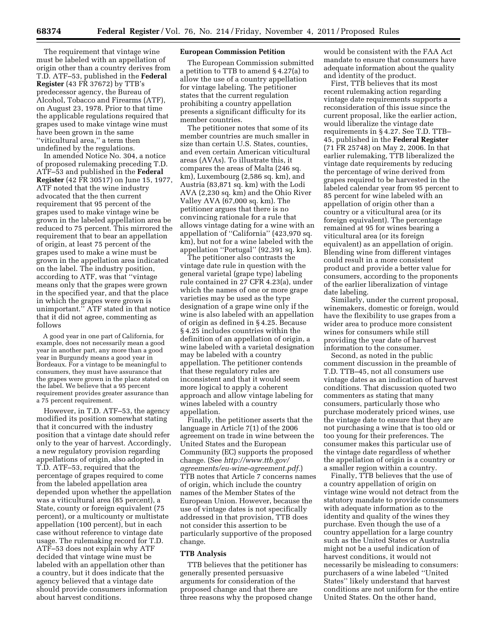The requirement that vintage wine must be labeled with an appellation of origin other than a country derives from T.D. ATF–53, published in the **Federal Register** (43 FR 37672) by TTB's predecessor agency, the Bureau of Alcohol, Tobacco and Firearms (ATF), on August 23, 1978. Prior to that time the applicable regulations required that grapes used to make vintage wine must have been grown in the same ''viticultural area,'' a term then undefined by the regulations.

In amended Notice No. 304, a notice of proposed rulemaking preceding T.D. ATF–53 and published in the **Federal Register** (42 FR 30517) on June 15, 1977, ATF noted that the wine industry advocated that the then current requirement that 95 percent of the grapes used to make vintage wine be grown in the labeled appellation area be reduced to 75 percent. This mirrored the requirement that to bear an appellation of origin, at least 75 percent of the grapes used to make a wine must be grown in the appellation area indicated on the label. The industry position, according to ATF, was that ''vintage means only that the grapes were grown in the specified year, and that the place in which the grapes were grown is unimportant.'' ATF stated in that notice that it did not agree, commenting as follows

A good year in one part of California, for example, does not necessarily mean a good year in another part, any more than a good year in Burgundy means a good year in Bordeaux. For a vintage to be meaningful to consumers, they must have assurance that the grapes were grown in the place stated on the label. We believe that a 95 percent requirement provides greater assurance than a 75 percent requirement.

However, in T.D. ATF–53, the agency modified its position somewhat stating that it concurred with the industry position that a vintage date should refer only to the year of harvest. Accordingly, a new regulatory provision regarding appellations of origin, also adopted in T.D. ATF–53, required that the percentage of grapes required to come from the labeled appellation area depended upon whether the appellation was a viticultural area (85 percent), a State, county or foreign equivalent (75 percent), or a multicounty or multistate appellation (100 percent), but in each case without reference to vintage date usage. The rulemaking record for T.D. ATF–53 does not explain why ATF decided that vintage wine must be labeled with an appellation other than a country, but it does indicate that the agency believed that a vintage date should provide consumers information about harvest conditions.

### **European Commission Petition**

The European Commission submitted a petition to TTB to amend § 4.27(a) to allow the use of a country appellation for vintage labeling. The petitioner states that the current regulation prohibiting a country appellation presents a significant difficulty for its member countries.

The petitioner notes that some of its member countries are much smaller in size than certain U.S. States, counties, and even certain American viticultural areas (AVAs). To illustrate this, it compares the areas of Malta (246 sq. km), Luxembourg (2,586 sq. km), and Austria (83,871 sq. km) with the Lodi AVA (2,230 sq. km) and the Ohio River Valley AVA (67,000 sq. km). The petitioner argues that there is no convincing rationale for a rule that allows vintage dating for a wine with an appellation of ''California'' (423,970 sq. km), but not for a wine labeled with the appellation ''Portugal'' (92,391 sq. km).

The petitioner also contrasts the vintage date rule in question with the general varietal (grape type) labeling rule contained in 27 CFR 4.23(a), under which the names of one or more grape varieties may be used as the type designation of a grape wine only if the wine is also labeled with an appellation of origin as defined in § 4.25. Because § 4.25 includes countries within the definition of an appellation of origin, a wine labeled with a varietal designation may be labeled with a country appellation. The petitioner contends that these regulatory rules are inconsistent and that it would seem more logical to apply a coherent approach and allow vintage labeling for wines labeled with a country appellation.

Finally, the petitioner asserts that the language in Article 7(1) of the 2006 agreement on trade in wine between the United States and the European Community (EC) supports the proposed change. (See *[http://www.ttb.gov/](http://www.ttb.gov/agreements/eu-wine-agreement.pdf)  [agreements/eu-wine-agreement.pdf.](http://www.ttb.gov/agreements/eu-wine-agreement.pdf)*) TTB notes that Article 7 concerns names of origin, which include the country names of the Member States of the European Union. However, because the use of vintage dates is not specifically addressed in that provision, TTB does not consider this assertion to be particularly supportive of the proposed change.

#### **TTB Analysis**

TTB believes that the petitioner has generally presented persuasive arguments for consideration of the proposed change and that there are three reasons why the proposed change

would be consistent with the FAA Act mandate to ensure that consumers have adequate information about the quality and identity of the product.

First, TTB believes that its most recent rulemaking action regarding vintage date requirements supports a reconsideration of this issue since the current proposal, like the earlier action, would liberalize the vintage date requirements in § 4.27. See T.D. TTB– 45, published in the **Federal Register**  (71 FR 25748) on May 2, 2006. In that earlier rulemaking, TTB liberalized the vintage date requirements by reducing the percentage of wine derived from grapes required to be harvested in the labeled calendar year from 95 percent to 85 percent for wine labeled with an appellation of origin other than a country or a viticultural area (or its foreign equivalent). The percentage remained at 95 for wines bearing a viticultural area (or its foreign equivalent) as an appellation of origin. Blending wine from different vintages could result in a more consistent product and provide a better value for consumers, according to the proponents of the earlier liberalization of vintage date labeling.

Similarly, under the current proposal, winemakers, domestic or foreign, would have the flexibility to use grapes from a wider area to produce more consistent wines for consumers while still providing the year date of harvest information to the consumer.

Second, as noted in the public comment discussion in the preamble of T.D. TTB–45, not all consumers use vintage dates as an indication of harvest conditions. That discussion quoted two commenters as stating that many consumers, particularly those who purchase moderately priced wines, use the vintage date to ensure that they are not purchasing a wine that is too old or too young for their preferences. The consumer makes this particular use of the vintage date regardless of whether the appellation of origin is a country or a smaller region within a country.

Finally, TTB believes that the use of a country appellation of origin on vintage wine would not detract from the statutory mandate to provide consumers with adequate information as to the identity and quality of the wines they purchase. Even though the use of a country appellation for a large country such as the United States or Australia might not be a useful indication of harvest conditions, it would not necessarily be misleading to consumers: purchasers of a wine labeled ''United States'' likely understand that harvest conditions are not uniform for the entire United States. On the other hand,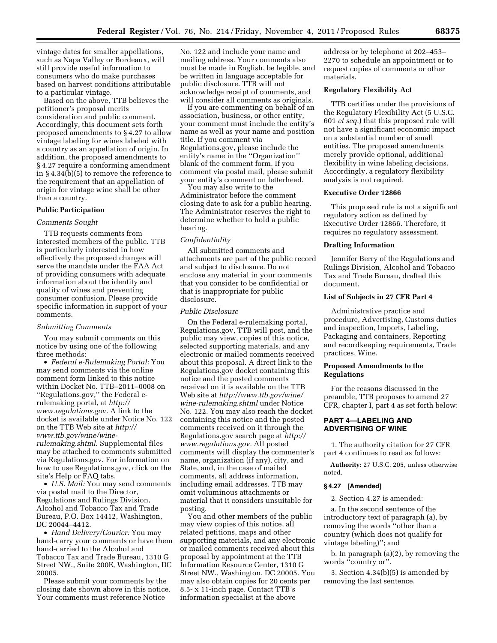vintage dates for smaller appellations, such as Napa Valley or Bordeaux, will still provide useful information to consumers who do make purchases based on harvest conditions attributable to a particular vintage.

Based on the above, TTB believes the petitioner's proposal merits consideration and public comment. Accordingly, this document sets forth proposed amendments to § 4.27 to allow vintage labeling for wines labeled with a country as an appellation of origin. In addition, the proposed amendments to § 4.27 require a conforming amendment in § 4.34(b)(5) to remove the reference to the requirement that an appellation of origin for vintage wine shall be other than a country.

### **Public Participation**

#### *Comments Sought*

TTB requests comments from interested members of the public. TTB is particularly interested in how effectively the proposed changes will serve the mandate under the FAA Act of providing consumers with adequate information about the identity and quality of wines and preventing consumer confusion. Please provide specific information in support of your comments.

#### *Submitting Comments*

You may submit comments on this notice by using one of the following three methods:

• *Federal e-Rulemaking Portal:* You may send comments via the online comment form linked to this notice within Docket No. TTB–2011–0008 on ''Regulations.gov,'' the Federal erulemaking portal, at *[http://](http://www.regulations.gov) [www.regulations.gov.](http://www.regulations.gov)* A link to the docket is available under Notice No. 122 on the TTB Web site at *[http://](http://www.ttb.gov/wine/wine-rulemaking.shtml) [www.ttb.gov/wine/wine](http://www.ttb.gov/wine/wine-rulemaking.shtml)[rulemaking.shtml.](http://www.ttb.gov/wine/wine-rulemaking.shtml)* Supplemental files may be attached to comments submitted via Regulations.gov. For information on how to use Regulations.gov, click on the site's Help or FAQ tabs.

• *U.S. Mail:* You may send comments via postal mail to the Director, Regulations and Rulings Division, Alcohol and Tobacco Tax and Trade Bureau, P.O. Box 14412, Washington, DC 20044–4412.

• *Hand Delivery/Courier:* You may hand-carry your comments or have them hand-carried to the Alcohol and Tobacco Tax and Trade Bureau, 1310 G Street NW., Suite 200E, Washington, DC 20005.

Please submit your comments by the closing date shown above in this notice. Your comments must reference Notice

No. 122 and include your name and mailing address. Your comments also must be made in English, be legible, and be written in language acceptable for public disclosure. TTB will not acknowledge receipt of comments, and will consider all comments as originals.

If you are commenting on behalf of an association, business, or other entity, your comment must include the entity's name as well as your name and position title. If you comment via Regulations.gov, please include the entity's name in the ''Organization'' blank of the comment form. If you comment via postal mail, please submit your entity's comment on letterhead.

You may also write to the Administrator before the comment closing date to ask for a public hearing. The Administrator reserves the right to determine whether to hold a public hearing.

## *Confidentiality*

All submitted comments and attachments are part of the public record and subject to disclosure. Do not enclose any material in your comments that you consider to be confidential or that is inappropriate for public disclosure.

### *Public Disclosure*

On the Federal e-rulemaking portal, Regulations.gov, TTB will post, and the public may view, copies of this notice, selected supporting materials, and any electronic or mailed comments received about this proposal. A direct link to the Regulations.gov docket containing this notice and the posted comments received on it is available on the TTB Web site at *[http://www.ttb.gov/wine/](http://www.ttb.gov/wine/wine-rulemaking.shtml)  [wine-rulemaking.shtml](http://www.ttb.gov/wine/wine-rulemaking.shtml)* under Notice No. 122. You may also reach the docket containing this notice and the posted comments received on it through the Regulations.gov search page at *[http://](http://www.regulations.gov)  [www.regulations.gov.](http://www.regulations.gov)* All posted comments will display the commenter's name, organization (if any), city, and State, and, in the case of mailed comments, all address information, including email addresses. TTB may omit voluminous attachments or material that it considers unsuitable for posting.

You and other members of the public may view copies of this notice, all related petitions, maps and other supporting materials, and any electronic or mailed comments received about this proposal by appointment at the TTB Information Resource Center, 1310 G Street NW., Washington, DC 20005. You may also obtain copies for 20 cents per 8.5- x 11-inch page. Contact TTB's information specialist at the above

address or by telephone at 202–453– 2270 to schedule an appointment or to request copies of comments or other materials.

### **Regulatory Flexibility Act**

TTB certifies under the provisions of the Regulatory Flexibility Act (5 U.S.C. 601 *et seq.*) that this proposed rule will not have a significant economic impact on a substantial number of small entities. The proposed amendments merely provide optional, additional flexibility in wine labeling decisions. Accordingly, a regulatory flexibility analysis is not required.

#### **Executive Order 12866**

This proposed rule is not a significant regulatory action as defined by Executive Order 12866. Therefore, it requires no regulatory assessment.

# **Drafting Information**

Jennifer Berry of the Regulations and Rulings Division, Alcohol and Tobacco Tax and Trade Bureau, drafted this document.

### **List of Subjects in 27 CFR Part 4**

Administrative practice and procedure, Advertising, Customs duties and inspection, Imports, Labeling, Packaging and containers, Reporting and recordkeeping requirements, Trade practices, Wine.

## **Proposed Amendments to the Regulations**

For the reasons discussed in the preamble, TTB proposes to amend 27 CFR, chapter I, part 4 as set forth below:

# **PART 4—LABELING AND ADVERTISING OF WINE**

1. The authority citation for 27 CFR part 4 continues to read as follows:

**Authority:** 27 U.S.C. 205, unless otherwise noted.

## **§ 4.27 [Amended]**

2. Section 4.27 is amended:

a. In the second sentence of the introductory text of paragraph (a), by removing the words ''other than a country (which does not qualify for vintage labeling)''; and

b. In paragraph (a)(2), by removing the words ''country or''.

3. Section 4.34(b)(5) is amended by removing the last sentence.